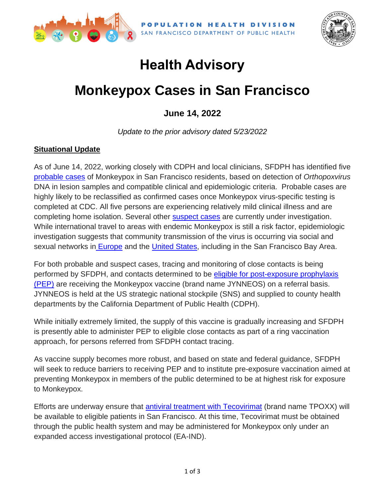

SAN FRANCISCO DEPARTMENT OF PUBLIC HEALTH



## **Health Advisory**

# **Monkeypox Cases in San Francisco**

**June 14, 2022**

*Update to the prior advisory dated 5/23/2022*

#### **Situational Update**

As of June 14, 2022, working closely with CDPH and local clinicians, SFDPH has identified five [probable cases](https://www.cdc.gov/poxvirus/monkeypox/clinicians/case-definition.html) of Monkeypox in San Francisco residents, based on detection of *Orthopoxvirus* DNA in lesion samples and compatible clinical and epidemiologic criteria. Probable cases are highly likely to be reclassified as confirmed cases once Monkeypox virus-specific testing is completed at CDC. All five persons are experiencing relatively mild clinical illness and are completing home isolation. Several other [suspect cases](https://www.cdc.gov/poxvirus/monkeypox/clinicians/case-definition.html) are currently under investigation. While international travel to areas with endemic Monkeypox is still a risk factor, epidemiologic investigation suggests that community transmission of the virus is occurring via social and sexual networks in [Europe](https://www.cdc.gov/poxvirus/monkeypox/response/2022/world-map.html) and the [United States,](https://www.cdc.gov/poxvirus/monkeypox/response/2022/us-map.html) including in the San Francisco Bay Area.

For both probable and suspect cases, tracing and monitoring of close contacts is being performed by SFDPH, and contacts determined to be [eligible for post-exposure prophylaxis](https://www.cdc.gov/poxvirus/monkeypox/clinicians/monitoring.html)  [\(PEP\)](https://www.cdc.gov/poxvirus/monkeypox/clinicians/monitoring.html) are receiving the Monkeypox vaccine (brand name JYNNEOS) on a referral basis. JYNNEOS is held at the US strategic national stockpile (SNS) and supplied to county health departments by the California Department of Public Health (CDPH).

While initially extremely limited, the supply of this vaccine is gradually increasing and SFDPH is presently able to administer PEP to eligible close contacts as part of a ring vaccination approach, for persons referred from SFDPH contact tracing.

As vaccine supply becomes more robust, and based on state and federal guidance, SFDPH will seek to reduce barriers to receiving PEP and to institute pre-exposure vaccination aimed at preventing Monkeypox in members of the public determined to be at highest risk for exposure to Monkeypox.

Efforts are underway ensure that [antiviral treatment with Tecovirimat](https://www.cdc.gov/poxvirus/monkeypox/clinicians/Tecovirimat.html) (brand name TPOXX) will be available to eligible patients in San Francisco. At this time, Tecovirimat must be obtained through the public health system and may be administered for Monkeypox only under an expanded access investigational protocol (EA-IND).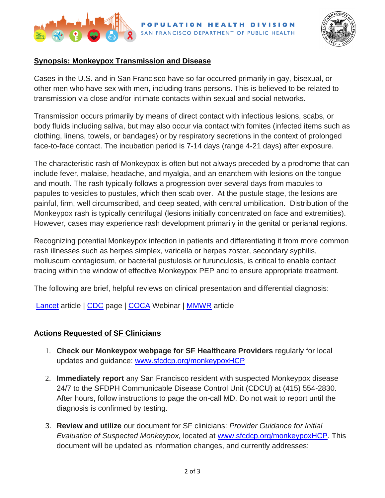



## **Synopsis: Monkeypox Transmission and Disease**

Cases in the U.S. and in San Francisco have so far occurred primarily in gay, bisexual, or other men who have sex with men, including trans persons. This is believed to be related to transmission via close and/or intimate contacts within sexual and social networks.

Transmission occurs primarily by means of direct contact with infectious lesions, scabs, or body fluids including saliva, but may also occur via contact with fomites (infected items such as clothing, linens, towels, or bandages) or by respiratory secretions in the context of prolonged face-to-face contact. The incubation period is 7-14 days (range 4-21 days) after exposure.

The characteristic rash of Monkeypox is often but not always preceded by a prodrome that can include fever, malaise, headache, and myalgia, and an enanthem with lesions on the tongue and mouth. The rash typically follows a progression over several days from macules to papules to vesicles to pustules, which then scab over. At the pustule stage, the lesions are painful, firm, well circumscribed, and deep seated, with central umbilication. Distribution of the Monkeypox rash is typically centrifugal (lesions initially concentrated on face and extremities). However, cases may experience rash development primarily in the genital or perianal regions.

Recognizing potential Monkeypox infection in patients and differentiating it from more common rash illnesses such as herpes simplex, varicella or herpes zoster, secondary syphilis, molluscum contagiosum, or bacterial pustulosis or furunculosis, is critical to enable contact tracing within the window of effective Monkeypox PEP and to ensure appropriate treatment.

The following are brief, helpful reviews on clinical presentation and differential diagnosis:

[Lancet](https://www.thelancet.com/journals/laninf/article/PIIS1473-3099(22)00228-6/fulltext?hss_channel=fbp-374651963469) article | [CDC](https://www.cdc.gov/poxvirus/monkeypox/clinicians/clinical-recognition.html) page | [COCA](https://emergency.cdc.gov/coca/calls/2022/callinfo_052422.asp) Webinar | [MMWR](https://www.cdc.gov/mmwr/volumes/71/wr/mm7123e1.htm) article

## **Actions Requested of SF Clinicians**

- 1. **Check our Monkeypox webpage for SF Healthcare Providers** regularly for local updates and guidance: [www.sfcdcp.org/monkeypoxHCP](http://www.sfcdcp.org/monkeypoxHCP)
- 2. **Immediately report** any San Francisco resident with suspected Monkeypox disease 24/7 to the SFDPH Communicable Disease Control Unit (CDCU) at (415) 554-2830. After hours, follow instructions to page the on-call MD. Do not wait to report until the diagnosis is confirmed by testing.
- 3. **Review and utilize** our document for SF clinicians: *Provider Guidance for Initial Evaluation of Suspected Monkeypox,* located at [www.sfcdcp.org/monkeypoxHCP.](http://www.sfcdcp.org/monkeypoxHCP) This document will be updated as information changes, and currently addresses: